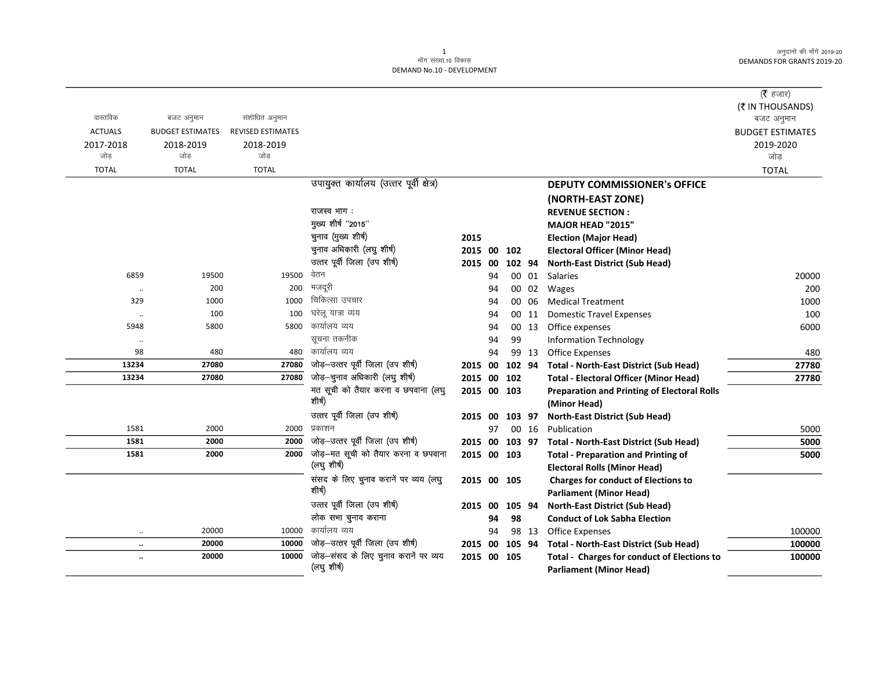|                |                         |                          |                                               |             |    |        |       |                                                                    | ( $\bar{\tau}$ हजार)<br>(₹ IN THOUSANDS) |
|----------------|-------------------------|--------------------------|-----------------------------------------------|-------------|----|--------|-------|--------------------------------------------------------------------|------------------------------------------|
| वास्तविक       | बजट अनुमान              | संशोधित अनुमान           |                                               |             |    |        |       |                                                                    | बजट अनुमान                               |
| <b>ACTUALS</b> | <b>BUDGET ESTIMATES</b> | <b>REVISED ESTIMATES</b> |                                               |             |    |        |       |                                                                    | <b>BUDGET ESTIMATES</b>                  |
| 2017-2018      | 2018-2019               | 2018-2019                |                                               |             |    |        |       |                                                                    | 2019-2020                                |
| जोड            | जोड                     | जोड                      |                                               |             |    |        |       |                                                                    | जोड़                                     |
| <b>TOTAL</b>   | <b>TOTAL</b>            | <b>TOTAL</b>             |                                               |             |    |        |       |                                                                    | <b>TOTAL</b>                             |
|                |                         |                          | उपायुक्त कार्यालय (उत्तर पूर्वी क्षेत्र)      |             |    |        |       | <b>DEPUTY COMMISSIONER's OFFICE</b>                                |                                          |
|                |                         |                          |                                               |             |    |        |       | (NORTH-EAST ZONE)                                                  |                                          |
|                |                         |                          | राजस्व भाग:                                   |             |    |        |       | <b>REVENUE SECTION:</b>                                            |                                          |
|                |                         |                          | मुख्य शीर्ष "2015"                            |             |    |        |       | MAJOR HEAD "2015"                                                  |                                          |
|                |                         |                          | चुनाव (मुख्य शीर्ष)                           | 2015        |    |        |       | <b>Election (Major Head)</b>                                       |                                          |
|                |                         |                          | चुनाव अधिकारी (लघु शीर्ष)                     | 2015 00     |    | 102    |       | <b>Electoral Officer (Minor Head)</b>                              |                                          |
|                |                         |                          | उत्तर पूर्वी जिला (उप शीर्ष)                  | 2015 00     |    | 102 94 |       | <b>North-East District (Sub Head)</b>                              |                                          |
| 6859           | 19500                   | 19500                    | वेतन                                          |             | 94 |        | 00 01 | Salaries                                                           | 20000                                    |
| $\ldots$       | 200                     | 200                      | मजदूरी                                        |             | 94 |        | 00 02 | Wages                                                              | 200                                      |
| 329            | 1000                    | 1000                     | चिकित्सा उपचार                                |             | 94 |        | 00 06 | <b>Medical Treatment</b>                                           | 1000                                     |
| $\ldots$       | 100                     | 100                      | घरेलू यात्रा व्यय                             |             | 94 |        | 00 11 | <b>Domestic Travel Expenses</b>                                    | 100                                      |
| 5948           | 5800                    | 5800                     | कार्यालय व्यय                                 |             | 94 |        | 00 13 | Office expenses                                                    | 6000                                     |
| $\ldots$       |                         |                          | सूचना तकनीक                                   |             | 94 | 99     |       | <b>Information Technology</b>                                      |                                          |
| 98             | 480                     | 480                      | कार्यालय व्यय                                 |             | 94 |        | 99 13 | Office Expenses                                                    | 480                                      |
| 13234          | 27080                   | 27080                    | जोड़-उत्तर पूर्वी जिला (उप शीर्ष)             | 2015 00     |    | 102 94 |       | <b>Total - North-East District (Sub Head)</b>                      | 27780                                    |
| 13234          | 27080                   | 27080                    | जोड़-चुनाव अधिकारी (लघु शीर्ष)                | 2015 00     |    | 102    |       | <b>Total - Electoral Officer (Minor Head)</b>                      | 27780                                    |
|                |                         |                          | मत सूची को तैयार करना व छपवाना (लघु<br>शीर्ष) | 2015 00 103 |    |        |       | <b>Preparation and Printing of Electoral Rolls</b><br>(Minor Head) |                                          |
|                |                         |                          | उत्तर पूर्वी जिला (उप शीर्ष)                  | 2015        | 00 | 103 97 |       | <b>North-East District (Sub Head)</b>                              |                                          |
| 1581           | 2000                    | 2000                     | प्रकाशन                                       |             | 97 |        | 00 16 | Publication                                                        | 5000                                     |
| 1581           | 2000                    | 2000                     | जोड़-उत्तर पूर्वी जिला (उप शीर्ष)             | 2015 00     |    | 103 97 |       | <b>Total - North-East District (Sub Head)</b>                      | 5000                                     |
| 1581           | 2000                    | 2000                     | जोड़—मत सूची को तैयार करना व छपवाना           | 2015 00 103 |    |        |       | <b>Total - Preparation and Printing of</b>                         | 5000                                     |
|                |                         |                          | (लघु शीर्ष)                                   |             |    |        |       | <b>Electoral Rolls (Minor Head)</b>                                |                                          |
|                |                         |                          | संसद के लिए चुनाव करानें पर व्यय (लघु         | 2015 00 105 |    |        |       | <b>Charges for conduct of Elections to</b>                         |                                          |
|                |                         |                          | शीर्ष)                                        |             |    |        |       | <b>Parliament (Minor Head)</b>                                     |                                          |
|                |                         |                          | उत्तर पूर्वी जिला (उप शीर्ष)                  | 2015 00     |    | 105 94 |       | <b>North-East District (Sub Head)</b>                              |                                          |
|                |                         |                          | लोक सभा चुनाव कराना                           |             | 94 | 98     |       | <b>Conduct of Lok Sabha Election</b>                               |                                          |
| $\ddotsc$      | 20000                   | 10000                    | कार्यालय व्यय                                 |             | 94 |        | 98 13 | Office Expenses                                                    | 100000                                   |
| $\ddotsc$      | 20000                   | 10000                    | जोड़-उत्तर पूर्वी जिला (उप शीर्ष)             | 2015 00     |    | 105 94 |       | <b>Total - North-East District (Sub Head)</b>                      | 100000                                   |
| $\ddotsc$      | 20000                   | 10000                    | जोड़-संसद के लिए चुनाव करानें पर व्यय         | 2015 00 105 |    |        |       | <b>Total - Charges for conduct of Elections to</b>                 | 100000                                   |
|                |                         |                          | (लघु शीर्ष)                                   |             |    |        |       | <b>Parliament (Minor Head)</b>                                     |                                          |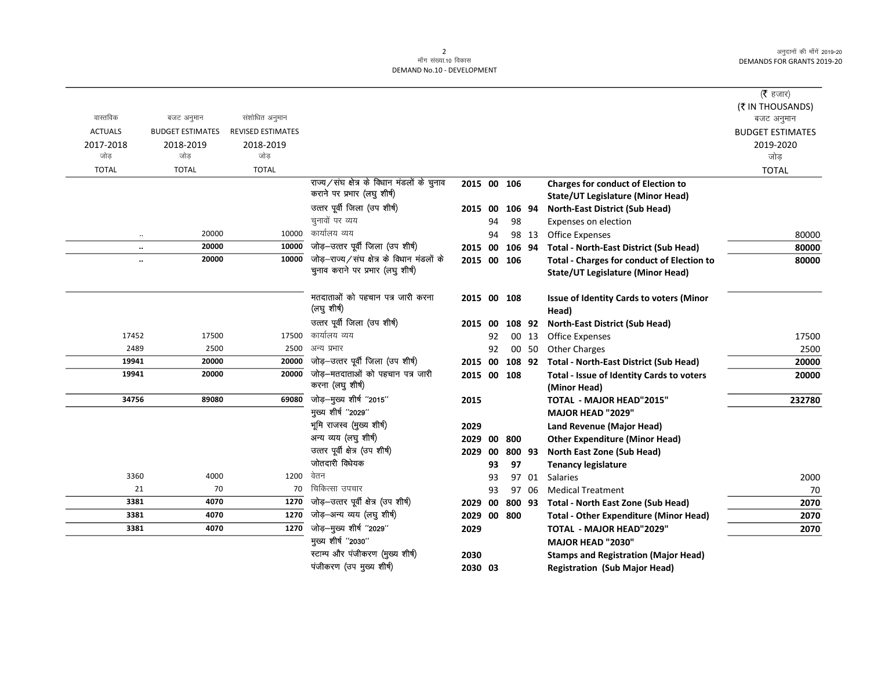|                |                               |                          |                                                                                |             |    |        |       |                                                   | (रै हजार)<br>(₹ IN THOUSANDS) |
|----------------|-------------------------------|--------------------------|--------------------------------------------------------------------------------|-------------|----|--------|-------|---------------------------------------------------|-------------------------------|
| वास्तविक       | बजट अनुमान                    | संशोधित अनुमान           |                                                                                |             |    |        |       |                                                   | बजट अनुमान                    |
| <b>ACTUALS</b> | <b>BUDGET ESTIMATES</b>       | <b>REVISED ESTIMATES</b> |                                                                                |             |    |        |       |                                                   | <b>BUDGET ESTIMATES</b>       |
| 2017-2018      | 2018-2019                     | 2018-2019                |                                                                                |             |    |        |       |                                                   | 2019-2020                     |
| जोड            | जोड                           | जोड                      |                                                                                |             |    |        |       |                                                   | जोड़                          |
| <b>TOTAL</b>   | <b>TOTAL</b>                  | <b>TOTAL</b>             |                                                                                |             |    |        |       |                                                   | <b>TOTAL</b>                  |
|                |                               |                          | राज्य/संघ क्षेत्र के विधान मंडलों के चुनाव<br>कराने पर प्रभार (लघु शीर्ष)      | 2015 00 106 |    |        |       | <b>Charges for conduct of Election to</b>         |                               |
|                |                               |                          |                                                                                |             |    |        |       | <b>State/UT Legislature (Minor Head)</b>          |                               |
|                |                               |                          | उत्तर पूर्वी जिला (उप शीर्ष)                                                   | 2015 00     |    | 106 94 |       | <b>North-East District (Sub Head)</b>             |                               |
|                |                               |                          | चुनावों पर व्यय<br>कार्यालय व्यय                                               |             | 94 | 98     |       | Expenses on election                              |                               |
|                | 20000<br>$\ddot{\phantom{a}}$ | 10000                    |                                                                                |             | 94 |        | 98 13 | <b>Office Expenses</b>                            | 80000                         |
|                | 20000<br>$\ldots$             | 10000                    | जोड़-उत्तर पूर्वी जिला (उप शीर्ष)                                              | 2015 00     |    | 106 94 |       | <b>Total - North-East District (Sub Head)</b>     | 80000                         |
|                | 20000<br>                     | 10000                    | जोड़-राज्य/संघ क्षेत्र के विधान मंडलों के<br>चुनाव कराने पर प्रभार (लघु शीर्ष) | 2015 00 106 |    |        |       | <b>Total - Charges for conduct of Election to</b> | 80000                         |
|                |                               |                          |                                                                                |             |    |        |       | <b>State/UT Legislature (Minor Head)</b>          |                               |
|                |                               |                          | मतदाताओं को पहचान पत्र जारी करना                                               | 2015 00 108 |    |        |       | <b>Issue of Identity Cards to voters (Minor</b>   |                               |
|                |                               |                          | (लघु शीर्ष)                                                                    |             |    |        |       | Head)                                             |                               |
|                |                               |                          | उत्तर पूर्वी जिला (उप शीर्ष)                                                   | 2015 00     |    | 108 92 |       | <b>North-East District (Sub Head)</b>             |                               |
| 17452          | 17500                         | 17500                    | कार्यालय व्यय                                                                  |             | 92 |        | 00 13 | <b>Office Expenses</b>                            | 17500                         |
| 2489           | 2500                          | 2500                     | अन्य प्रभार                                                                    |             | 92 |        | 00 50 | <b>Other Charges</b>                              | 2500                          |
| 19941          | 20000                         | 20000                    | जोड़-उत्तर पूर्वी जिला (उप शीर्ष)                                              | 2015 00     |    | 108 92 |       | <b>Total - North-East District (Sub Head)</b>     | 20000                         |
| 19941          | 20000                         | 20000                    | जोड़–मतदाताओं को पहचान पत्र जारी                                               | 2015 00 108 |    |        |       | Total - Issue of Identity Cards to voters         | 20000                         |
|                |                               |                          | करना (लघु शीर्ष)                                                               |             |    |        |       | (Minor Head)                                      |                               |
| 34756          | 89080                         | 69080                    | जोड़-मुख्य शीर्ष "2015"                                                        | 2015        |    |        |       | <b>TOTAL - MAJOR HEAD"2015"</b>                   | 232780                        |
|                |                               |                          | मुख्य शीर्ष "2029"                                                             |             |    |        |       | <b>MAJOR HEAD "2029"</b>                          |                               |
|                |                               |                          | भूमि राजस्व (मुख्य शीर्ष)                                                      | 2029        |    |        |       | Land Revenue (Major Head)                         |                               |
|                |                               |                          | अन्य व्यय (लघु शीर्ष)                                                          | 2029        | 00 | 800    |       | <b>Other Expenditure (Minor Head)</b>             |                               |
|                |                               |                          | उत्तर पूर्वी क्षेत्र (उप शीर्ष)                                                | 2029        | 00 | 800 93 |       | North East Zone (Sub Head)                        |                               |
|                |                               |                          | जोतदारी विधेयक                                                                 |             | 93 | 97     |       | <b>Tenancy legislature</b>                        |                               |
| 3360           | 4000                          | 1200                     | वेतन                                                                           |             | 93 |        | 97 01 | <b>Salaries</b>                                   | 2000                          |
| 21             | 70                            | 70                       | चिकित्सा उपचार                                                                 |             | 93 |        | 97 06 | <b>Medical Treatment</b>                          | 70                            |
| 3381           | 4070                          | 1270                     | जोड़-उत्तर पूर्वी क्षेत्र (उप शीर्ष)                                           | 2029        | 00 | 800 93 |       | Total - North East Zone (Sub Head)                | 2070                          |
| 3381           | 4070                          | 1270                     | जोड़—अन्य व्यय (लघु शीर्ष)                                                     | 2029        |    | 00 800 |       | <b>Total - Other Expenditure (Minor Head)</b>     | 2070                          |
| 3381           | 4070                          | 1270                     | जोड़-मुख्य शीर्ष "2029"                                                        | 2029        |    |        |       | <b>TOTAL - MAJOR HEAD"2029"</b>                   | 2070                          |
|                |                               |                          | मुख्य शीर्ष "2030"                                                             |             |    |        |       | <b>MAJOR HEAD "2030"</b>                          |                               |
|                |                               |                          | स्टाम्प और पंजीकरण (मुख्य शीर्ष)                                               | 2030        |    |        |       | <b>Stamps and Registration (Major Head)</b>       |                               |
|                |                               |                          | पंजीकरण (उप मुख्य शीर्ष)                                                       | 2030 03     |    |        |       | <b>Registration (Sub Major Head)</b>              |                               |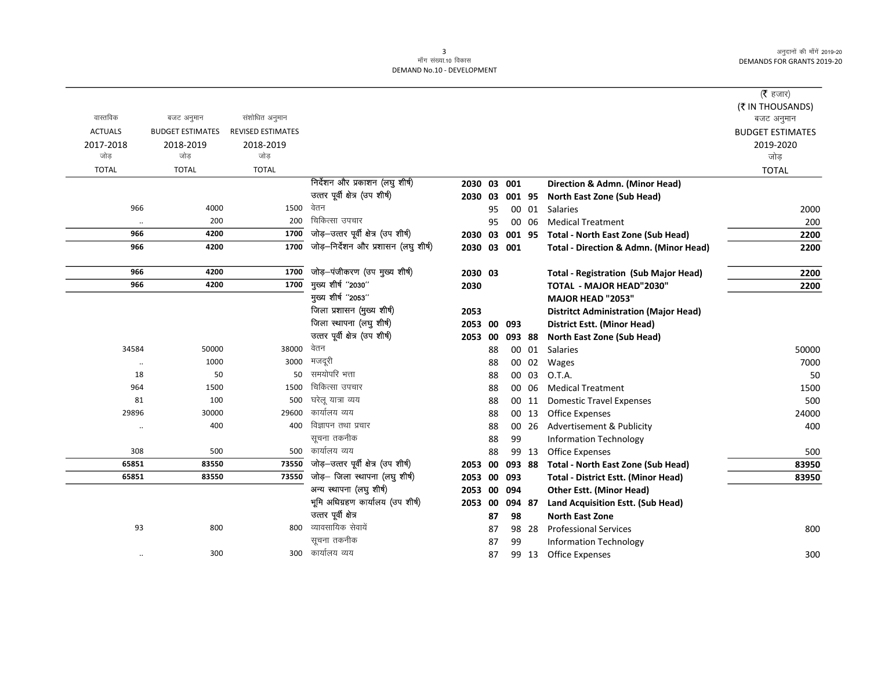|                      |                         |                          |                                      |                |    |        |       |                                                   | ( <b>रै</b> हजार)       |
|----------------------|-------------------------|--------------------------|--------------------------------------|----------------|----|--------|-------|---------------------------------------------------|-------------------------|
|                      |                         |                          |                                      |                |    |        |       |                                                   | (₹ IN THOUSANDS)        |
| वास्तविक             | बजट अनुमान              | संशोधित अनुमान           |                                      |                |    |        |       |                                                   | बजट अनुमान              |
| <b>ACTUALS</b>       | <b>BUDGET ESTIMATES</b> | <b>REVISED ESTIMATES</b> |                                      |                |    |        |       |                                                   | <b>BUDGET ESTIMATES</b> |
| 2017-2018            | 2018-2019               | 2018-2019                |                                      |                |    |        |       |                                                   | 2019-2020               |
| जोड                  | जोड                     | जोड                      |                                      |                |    |        |       |                                                   | जोड                     |
| <b>TOTAL</b>         | <b>TOTAL</b>            | <b>TOTAL</b>             |                                      |                |    |        |       |                                                   | <b>TOTAL</b>            |
|                      |                         |                          | निर्देशन और प्रकाशन (लघु शीर्ष)      | 2030 03 001    |    |        |       | Direction & Admn. (Minor Head)                    |                         |
|                      |                         |                          | उत्तर पूर्वी क्षेत्र (उप शीर्ष)      | 2030 03 001 95 |    |        |       | North East Zone (Sub Head)                        |                         |
| 966                  | 4000                    | 1500                     | वेतन                                 |                | 95 |        | 00 01 | <b>Salaries</b>                                   | 2000                    |
|                      | 200                     | 200                      | चिकित्सा उपचार                       |                | 95 |        | 00 06 | <b>Medical Treatment</b>                          | 200                     |
| 966                  | 4200                    | 1700                     | जोड़-उत्तर पूर्वी क्षेत्र (उप शीर्ष) | 2030 03        |    | 001 95 |       | <b>Total - North East Zone (Sub Head)</b>         | 2200                    |
| 966                  | 4200                    | 1700                     | जोड़-निर्देशन और प्रशासन (लघु शीर्ष) | 2030 03 001    |    |        |       | <b>Total - Direction &amp; Admn. (Minor Head)</b> | 2200                    |
| 966                  | 4200                    | 1700                     | जोड़-पंजीकरण (उप मुख्य शीर्ष)        | 2030 03        |    |        |       | <b>Total - Registration (Sub Major Head)</b>      | 2200                    |
| 966                  | 4200                    | 1700                     | मुख्य शीर्ष "2030"                   | 2030           |    |        |       | <b>TOTAL - MAJOR HEAD"2030"</b>                   | 2200                    |
|                      |                         |                          | मुख्य शीर्ष "2053"                   |                |    |        |       | <b>MAJOR HEAD "2053"</b>                          |                         |
|                      |                         |                          | जिला प्रशासन (मुख्य शीर्ष)           | 2053           |    |        |       | <b>Distritct Administration (Major Head)</b>      |                         |
|                      |                         |                          | जिला स्थापना (लघु शीर्ष)             | 2053 00 093    |    |        |       | <b>District Estt. (Minor Head)</b>                |                         |
|                      |                         |                          | उत्तर पूर्वी क्षेत्र (उप शीर्ष)      | 2053           | 00 | 093 88 |       | North East Zone (Sub Head)                        |                         |
| 34584                | 50000                   | 38000                    | वेतन                                 |                | 88 |        | 00 01 | <b>Salaries</b>                                   | 50000                   |
|                      | 1000                    | 3000                     | मजदूरी                               |                | 88 |        | 00 02 | Wages                                             | 7000                    |
| 18                   | 50                      | 50                       | समयोपरि भत्ता                        |                | 88 | 00     | 03    | O.T.A.                                            | 50                      |
| 964                  | 1500                    | 1500                     | चिकित्सा उपचार                       |                | 88 | 00     | 06    | <b>Medical Treatment</b>                          | 1500                    |
| 81                   | 100                     | 500                      | घरेलू यात्रा व्यय                    |                | 88 | 00     | 11    | <b>Domestic Travel Expenses</b>                   | 500                     |
| 29896                | 30000                   | 29600                    | कार्यालय व्यय                        |                | 88 |        | 00 13 | <b>Office Expenses</b>                            | 24000                   |
| $\ddot{\phantom{0}}$ | 400                     | 400                      | विज्ञापन तथा प्रचार                  |                | 88 |        | 00 26 | Advertisement & Publicity                         | 400                     |
|                      |                         |                          | सूचना तकनीक                          |                | 88 | 99     |       | <b>Information Technology</b>                     |                         |
| 308                  | 500                     | 500                      | कार्यालय व्यय                        |                | 88 |        | 99 13 | <b>Office Expenses</b>                            | 500                     |
| 65851                | 83550                   | 73550                    | जोड़-उत्तर पूर्वी क्षेत्र (उप शीर्ष) | 2053           | 00 | 093 88 |       | <b>Total - North East Zone (Sub Head)</b>         | 83950                   |
| 65851                | 83550                   | 73550                    | जोड़- जिला स्थापना (लघु शीर्ष)       | 2053           | 00 | 093    |       | <b>Total - District Estt. (Minor Head)</b>        | 83950                   |
|                      |                         |                          | अन्य स्थापना (लघु शीर्ष)             | 2053 00        |    | 094    |       | <b>Other Estt. (Minor Head)</b>                   |                         |
|                      |                         |                          | भूमि अधिग्रहण कार्यालय (उप शीर्ष)    | 2053 00        |    | 094 87 |       | Land Acquisition Estt. (Sub Head)                 |                         |
|                      |                         |                          | उत्तर पूर्वी क्षेत्र                 |                | 87 | 98     |       | <b>North East Zone</b>                            |                         |
| 93                   | 800                     | 800                      | व्यावसायिक सेवायें                   |                | 87 |        | 98 28 | <b>Professional Services</b>                      | 800                     |
|                      |                         |                          | सूचना तकनीक                          |                | 87 | 99     |       | <b>Information Technology</b>                     |                         |
|                      | 300                     | 300                      | कार्यालय व्यय                        |                | 87 |        | 99 13 | <b>Office Expenses</b>                            | 300                     |
|                      |                         |                          |                                      |                |    |        |       |                                                   |                         |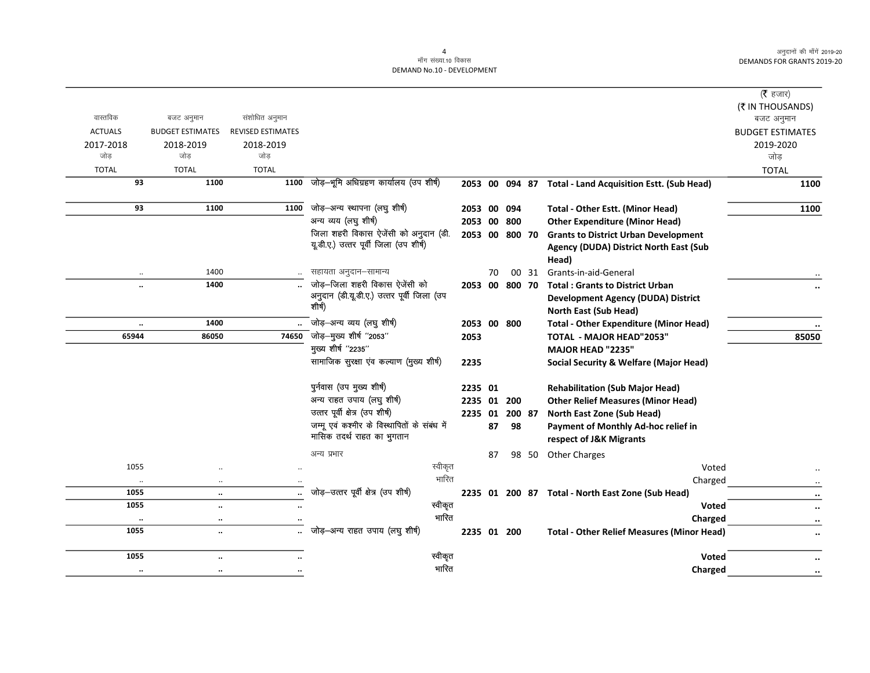|                                           |                                                |                |    |        |       |                                                          | ( $\bar{\tau}$ हजार)<br>(₹ IN THOUSANDS) |
|-------------------------------------------|------------------------------------------------|----------------|----|--------|-------|----------------------------------------------------------|------------------------------------------|
| वास्तविक<br>बजट अनुमान                    | संशोधित अनुमान                                 |                |    |        |       |                                                          | बजट अनुमान                               |
| <b>ACTUALS</b><br><b>BUDGET ESTIMATES</b> | <b>REVISED ESTIMATES</b>                       |                |    |        |       |                                                          | <b>BUDGET ESTIMATES</b>                  |
| 2017-2018<br>2018-2019                    | 2018-2019                                      |                |    |        |       |                                                          | 2019-2020                                |
| जोड<br>जोड                                | जोड़                                           |                |    |        |       |                                                          | जोड                                      |
| <b>TOTAL</b><br><b>TOTAL</b>              | <b>TOTAL</b>                                   |                |    |        |       |                                                          | <b>TOTAL</b>                             |
| 93<br>1100                                | जोड़-भूमि अधिग्रहण कार्यालय (उप शीर्ष)<br>1100 |                |    |        |       | 2053 00 094 87 Total - Land Acquisition Estt. (Sub Head) | 1100                                     |
| 93<br>1100                                | जोड़-अन्य स्थापना (लघु शीर्ष)<br>1100          | 2053 00        |    | 094    |       | Total - Other Estt. (Minor Head)                         | 1100                                     |
|                                           | अन्य व्यय (लघु शीर्ष)                          | 2053 00 800    |    |        |       | <b>Other Expenditure (Minor Head)</b>                    |                                          |
|                                           | जिला शहरी विकास ऐजेंसी को अनुदान (डी.          | 2053 00 800 70 |    |        |       | <b>Grants to District Urban Development</b>              |                                          |
|                                           | यू.डी.ए.) उत्तर पूर्वी जिला (उप शीर्ष)         |                |    |        |       | Agency (DUDA) District North East (Sub<br>Head)          |                                          |
| 1400<br>$\ddotsc$                         | सहायता अनुदान-सामान्य                          |                | 70 |        | 00 31 | Grants-in-aid-General                                    |                                          |
| 1400<br>$\ddot{\phantom{a}}$              | जोड़-जिला शहरी विकास ऐजेंसी को                 | 2053 00        |    | 800 70 |       | <b>Total: Grants to District Urban</b>                   |                                          |
|                                           | अनुदान (डी.यू.डी.ए.) उत्तर पूर्वी जिला (उप     |                |    |        |       | <b>Development Agency (DUDA) District</b>                |                                          |
|                                           | शीर्ष)                                         |                |    |        |       | North East (Sub Head)                                    |                                          |
| 1400<br>$\ddotsc$                         | जोड़-अन्य व्यय (लघु शीर्ष)                     | 2053 00 800    |    |        |       | <b>Total - Other Expenditure (Minor Head)</b>            |                                          |
| 65944<br>86050                            | -<br>जोड़—मुख्य शीर्ष "2053"<br>74650          | 2053           |    |        |       | TOTAL - MAJOR HEAD"2053"                                 | 85050                                    |
|                                           | मुख्य शीर्ष "2235"                             |                |    |        |       | MAJOR HEAD "2235"                                        |                                          |
|                                           | सामाजिक सुरक्षा एव कल्याण (मुख्य शीर्ष)        | 2235           |    |        |       | <b>Social Security &amp; Welfare (Major Head)</b>        |                                          |
|                                           | पुर्नवास (उप मुख्य शीर्ष)                      | 2235 01        |    |        |       | <b>Rehabilitation (Sub Major Head)</b>                   |                                          |
|                                           | अन्य राहत उपाय (लघु शीर्ष)                     | 2235 01 200    |    |        |       | <b>Other Relief Measures (Minor Head)</b>                |                                          |
|                                           | उत्तर पूर्वी क्षेत्र (उप शीर्ष)                | 2235 01        |    | 200 87 |       | North East Zone (Sub Head)                               |                                          |
|                                           | जम्मू एवं कश्मीर के विस्थापितों के संबंध में   |                | 87 | 98     |       | Payment of Monthly Ad-hoc relief in                      |                                          |
|                                           | मासिक तदर्थ राहत का भुगतान                     |                |    |        |       | respect of J&K Migrants                                  |                                          |
|                                           | अन्य प्रभार                                    |                | 87 |        | 98 50 | <b>Other Charges</b>                                     |                                          |
| 1055                                      |                                                | स्वीकृत        |    |        |       | Voted                                                    |                                          |
| $\ldots$<br>$\ddotsc$                     |                                                | भारित          |    |        |       | Charged                                                  |                                          |
| 1055<br>$\ddotsc$                         | जोड़-उत्तर पूर्वी क्षेत्र (उप शीर्ष)           |                |    |        |       | 2235 01 200 87 Total - North East Zone (Sub Head)        |                                          |
| 1055<br>$\ddot{\phantom{a}}$              |                                                | स्वीकृत        |    |        |       | <b>Voted</b>                                             | $\ddot{\phantom{0}}$                     |
| $\ddotsc$<br>$\ddotsc$                    |                                                | भारित          |    |        |       | Charged                                                  |                                          |
| 1055<br>$\ddotsc$                         | जोड़-अन्य राहत उपाय (लघु शीर्ष)                | 2235 01 200    |    |        |       | <b>Total - Other Relief Measures (Minor Head)</b>        | $\ddot{\phantom{0}}$                     |
| 1055<br>$\ddot{\phantom{a}}$              |                                                | स्वीकृत        |    |        |       | <b>Voted</b>                                             |                                          |
| $\ldots$<br>$\ldots$                      |                                                | भारित          |    |        |       | Charged                                                  | $\cdot\cdot$                             |